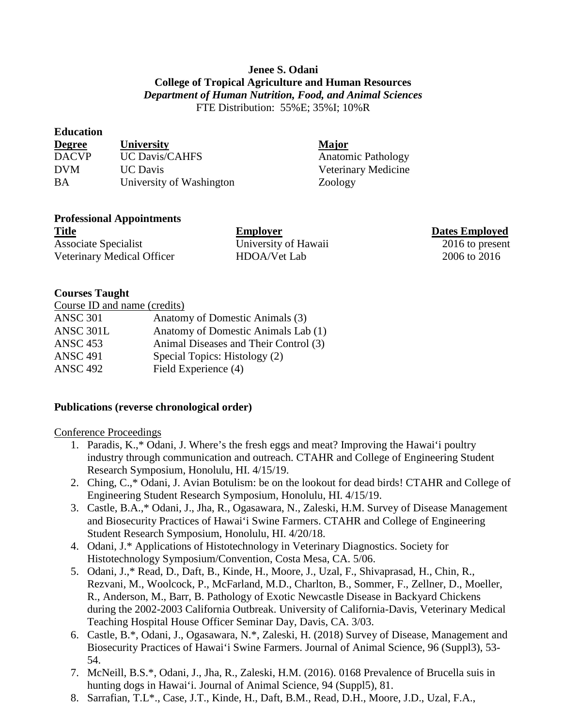# **Jenee S. Odani College of Tropical Agriculture and Human Resources** *Department of Human Nutrition, Food, and Animal Sciences* FTE Distribution: 55%E; 35%I; 10%R

#### **Education**

| <b>Degree</b> | <b>University</b>        | <b>Major</b>              |
|---------------|--------------------------|---------------------------|
| <b>DACVP</b>  | <b>UC Davis/CAHFS</b>    | <b>Anatomic Pathology</b> |
| <b>DVM</b>    | <b>UC</b> Davis          | Veterinary Medicine       |
| BA            | University of Washington | Zoology                   |

## **Professional Appointments**

| <b>Title</b>                | <b>Employer</b>      | <b>Dates Employed</b> |
|-----------------------------|----------------------|-----------------------|
| <b>Associate Specialist</b> | University of Hawaii | 2016 to present       |
| Veterinary Medical Officer  | HDOA/Vet Lab         | 2006 to 2016          |

### **Courses Taught**

| Course ID and name (credits) |                                       |
|------------------------------|---------------------------------------|
| <b>ANSC 301</b>              | Anatomy of Domestic Animals (3)       |
| ANSC 301L                    | Anatomy of Domestic Animals Lab (1)   |
| <b>ANSC 453</b>              | Animal Diseases and Their Control (3) |
| <b>ANSC 491</b>              | Special Topics: Histology (2)         |
| <b>ANSC 492</b>              | Field Experience (4)                  |
|                              |                                       |

## **Publications (reverse chronological order)**

#### Conference Proceedings

- 1. Paradis, K.,\* Odani, J. Where's the fresh eggs and meat? Improving the Hawai'i poultry industry through communication and outreach. CTAHR and College of Engineering Student Research Symposium, Honolulu, HI. 4/15/19.
- 2. Ching, C.,\* Odani, J. Avian Botulism: be on the lookout for dead birds! CTAHR and College of Engineering Student Research Symposium, Honolulu, HI. 4/15/19.
- 3. Castle, B.A.,\* Odani, J., Jha, R., Ogasawara, N., Zaleski, H.M. Survey of Disease Management and Biosecurity Practices of Hawai'i Swine Farmers. CTAHR and College of Engineering Student Research Symposium, Honolulu, HI. 4/20/18.
- 4. Odani, J.\* Applications of Histotechnology in Veterinary Diagnostics. Society for Histotechnology Symposium/Convention, Costa Mesa, CA. 5/06.
- 5. Odani, J.,\* Read, D., Daft, B., Kinde, H., Moore, J., Uzal, F., Shivaprasad, H., Chin, R., Rezvani, M., Woolcock, P., McFarland, M.D., Charlton, B., Sommer, F., Zellner, D., Moeller, R., Anderson, M., Barr, B. Pathology of Exotic Newcastle Disease in Backyard Chickens during the 2002-2003 California Outbreak. University of California-Davis, Veterinary Medical Teaching Hospital House Officer Seminar Day, Davis, CA. 3/03.
- 6. Castle, B.\*, Odani, J., Ogasawara, N.\*, Zaleski, H. (2018) Survey of Disease, Management and Biosecurity Practices of Hawai'i Swine Farmers. Journal of Animal Science, 96 (Suppl3), 53- 54.
- 7. McNeill, B.S.\*, Odani, J., Jha, R., Zaleski, H.M. (2016). 0168 Prevalence of Brucella suis in hunting dogs in Hawai'i. Journal of Animal Science, 94 (Suppl5), 81.
- 8. Sarrafian, T.L\*., Case, J.T., Kinde, H., Daft, B.M., Read, D.H., Moore, J.D., Uzal, F.A.,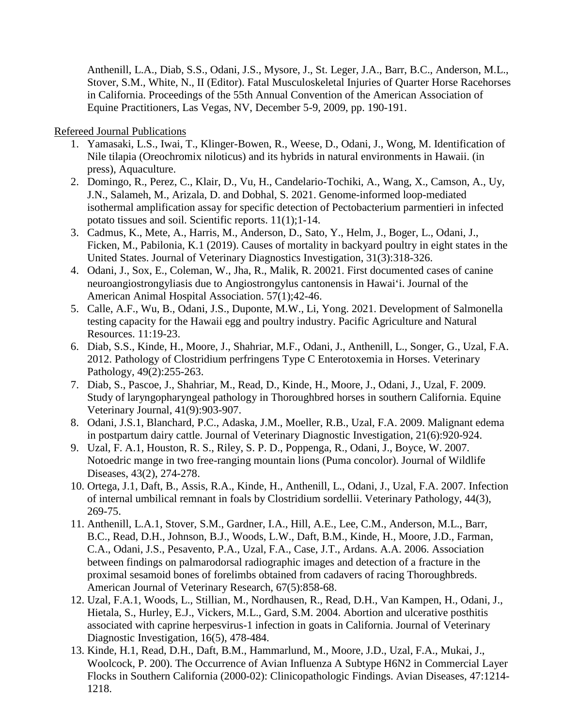Anthenill, L.A., Diab, S.S., Odani, J.S., Mysore, J., St. Leger, J.A., Barr, B.C., Anderson, M.L., Stover, S.M., White, N., II (Editor). Fatal Musculoskeletal Injuries of Quarter Horse Racehorses in California. Proceedings of the 55th Annual Convention of the American Association of Equine Practitioners, Las Vegas, NV, December 5-9, 2009, pp. 190-191.

Refereed Journal Publications

- 1. Yamasaki, L.S., Iwai, T., Klinger-Bowen, R., Weese, D., Odani, J., Wong, M. Identification of Nile tilapia (Oreochromix niloticus) and its hybrids in natural environments in Hawaii. (in press), Aquaculture.
- 2. Domingo, R., Perez, C., Klair, D., Vu, H., Candelario-Tochiki, A., Wang, X., Camson, A., Uy, J.N., Salameh, M., Arizala, D. and Dobhal, S. 2021. Genome-informed loop-mediated isothermal amplification assay for specific detection of Pectobacterium parmentieri in infected potato tissues and soil. Scientific reports. 11(1);1-14.
- 3. Cadmus, K., Mete, A., Harris, M., Anderson, D., Sato, Y., Helm, J., Boger, L., Odani, J., Ficken, M., Pabilonia, K.1 (2019). Causes of mortality in backyard poultry in eight states in the United States. Journal of Veterinary Diagnostics Investigation, 31(3):318-326.
- 4. Odani, J., Sox, E., Coleman, W., Jha, R., Malik, R. 20021. First documented cases of canine neuroangiostrongyliasis due to Angiostrongylus cantonensis in Hawai'i. Journal of the American Animal Hospital Association. 57(1);42-46.
- 5. Calle, A.F., Wu, B., Odani, J.S., Duponte, M.W., Li, Yong. 2021. Development of Salmonella testing capacity for the Hawaii egg and poultry industry. Pacific Agriculture and Natural Resources. 11:19-23.
- 6. Diab, S.S., Kinde, H., Moore, J., Shahriar, M.F., Odani, J., Anthenill, L., Songer, G., Uzal, F.A. 2012. Pathology of Clostridium perfringens Type C Enterotoxemia in Horses. Veterinary Pathology, 49(2):255-263.
- 7. Diab, S., Pascoe, J., Shahriar, M., Read, D., Kinde, H., Moore, J., Odani, J., Uzal, F. 2009. Study of laryngopharyngeal pathology in Thoroughbred horses in southern California. Equine Veterinary Journal, 41(9):903-907.
- 8. Odani, J.S.1, Blanchard, P.C., Adaska, J.M., Moeller, R.B., Uzal, F.A. 2009. Malignant edema in postpartum dairy cattle. Journal of Veterinary Diagnostic Investigation, 21(6):920-924.
- 9. Uzal, F. A.1, Houston, R. S., Riley, S. P. D., Poppenga, R., Odani, J., Boyce, W. 2007. Notoedric mange in two free-ranging mountain lions (Puma concolor). Journal of Wildlife Diseases, 43(2), 274-278.
- 10. Ortega, J.1, Daft, B., Assis, R.A., Kinde, H., Anthenill, L., Odani, J., Uzal, F.A. 2007. Infection of internal umbilical remnant in foals by Clostridium sordellii. Veterinary Pathology, 44(3), 269-75.
- 11. Anthenill, L.A.1, Stover, S.M., Gardner, I.A., Hill, A.E., Lee, C.M., Anderson, M.L., Barr, B.C., Read, D.H., Johnson, B.J., Woods, L.W., Daft, B.M., Kinde, H., Moore, J.D., Farman, C.A., Odani, J.S., Pesavento, P.A., Uzal, F.A., Case, J.T., Ardans. A.A. 2006. Association between findings on palmarodorsal radiographic images and detection of a fracture in the proximal sesamoid bones of forelimbs obtained from cadavers of racing Thoroughbreds. American Journal of Veterinary Research, 67(5):858-68.
- 12. Uzal, F.A.1, Woods, L., Stillian, M., Nordhausen, R., Read, D.H., Van Kampen, H., Odani, J., Hietala, S., Hurley, E.J., Vickers, M.L., Gard, S.M. 2004. Abortion and ulcerative posthitis associated with caprine herpesvirus-1 infection in goats in California. Journal of Veterinary Diagnostic Investigation, 16(5), 478-484.
- 13. Kinde, H.1, Read, D.H., Daft, B.M., Hammarlund, M., Moore, J.D., Uzal, F.A., Mukai, J., Woolcock, P. 200). The Occurrence of Avian Influenza A Subtype H6N2 in Commercial Layer Flocks in Southern California (2000-02): Clinicopathologic Findings. Avian Diseases, 47:1214- 1218.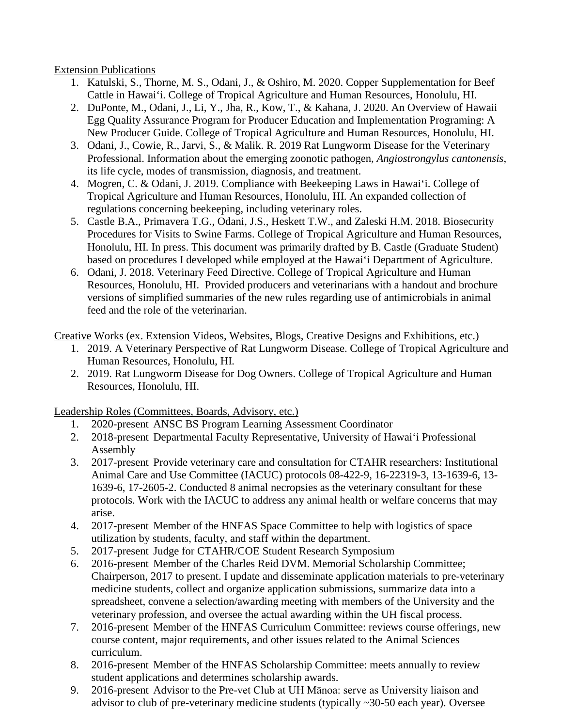Extension Publications

- 1. Katulski, S., Thorne, M. S., Odani, J., & Oshiro, M. 2020. Copper Supplementation for Beef Cattle in Hawai'i. College of Tropical Agriculture and Human Resources, Honolulu, HI.
- 2. DuPonte, M., Odani, J., Li, Y., Jha, R., Kow, T., & Kahana, J. 2020. An Overview of Hawaii Egg Quality Assurance Program for Producer Education and Implementation Programing: A New Producer Guide. College of Tropical Agriculture and Human Resources, Honolulu, HI.
- 3. Odani, J., Cowie, R., Jarvi, S., & Malik. R. 2019 Rat Lungworm Disease for the Veterinary Professional. Information about the emerging zoonotic pathogen, *Angiostrongylus cantonensis*, its life cycle, modes of transmission, diagnosis, and treatment.
- 4. Mogren, C. & Odani, J. 2019. Compliance with Beekeeping Laws in Hawai'i. College of Tropical Agriculture and Human Resources, Honolulu, HI. An expanded collection of regulations concerning beekeeping, including veterinary roles.
- 5. Castle B.A., Primavera T.G., Odani, J.S., Heskett T.W., and Zaleski H.M. 2018. Biosecurity Procedures for Visits to Swine Farms. College of Tropical Agriculture and Human Resources, Honolulu, HI. In press. This document was primarily drafted by B. Castle (Graduate Student) based on procedures I developed while employed at the Hawai'i Department of Agriculture.
- 6. Odani, J. 2018. Veterinary Feed Directive. College of Tropical Agriculture and Human Resources, Honolulu, HI. Provided producers and veterinarians with a handout and brochure versions of simplified summaries of the new rules regarding use of antimicrobials in animal feed and the role of the veterinarian.

Creative Works (ex. Extension Videos, Websites, Blogs, Creative Designs and Exhibitions, etc.)

- 1. 2019. A Veterinary Perspective of Rat Lungworm Disease. College of Tropical Agriculture and Human Resources, Honolulu, HI.
- 2. 2019. Rat Lungworm Disease for Dog Owners. College of Tropical Agriculture and Human Resources, Honolulu, HI.

Leadership Roles (Committees, Boards, Advisory, etc.)

- 1. 2020-present ANSC BS Program Learning Assessment Coordinator
- 2. 2018-present Departmental Faculty Representative, University of Hawai'i Professional Assembly
- 3. 2017-present Provide veterinary care and consultation for CTAHR researchers: Institutional Animal Care and Use Committee (IACUC) protocols 08-422-9, 16-22319-3, 13-1639-6, 13- 1639-6, 17-2605-2. Conducted 8 animal necropsies as the veterinary consultant for these protocols. Work with the IACUC to address any animal health or welfare concerns that may arise.
- 4. 2017-present Member of the HNFAS Space Committee to help with logistics of space utilization by students, faculty, and staff within the department.
- 5. 2017-present Judge for CTAHR/COE Student Research Symposium
- 6. 2016-present Member of the Charles Reid DVM. Memorial Scholarship Committee; Chairperson, 2017 to present. I update and disseminate application materials to pre-veterinary medicine students, collect and organize application submissions, summarize data into a spreadsheet, convene a selection/awarding meeting with members of the University and the veterinary profession, and oversee the actual awarding within the UH fiscal process.
- 7. 2016-present Member of the HNFAS Curriculum Committee: reviews course offerings, new course content, major requirements, and other issues related to the Animal Sciences curriculum.
- 8. 2016-present Member of the HNFAS Scholarship Committee: meets annually to review student applications and determines scholarship awards.
- 9. 2016-present Advisor to the Pre-vet Club at UH Mānoa: serve as University liaison and advisor to club of pre-veterinary medicine students (typically ~30-50 each year). Oversee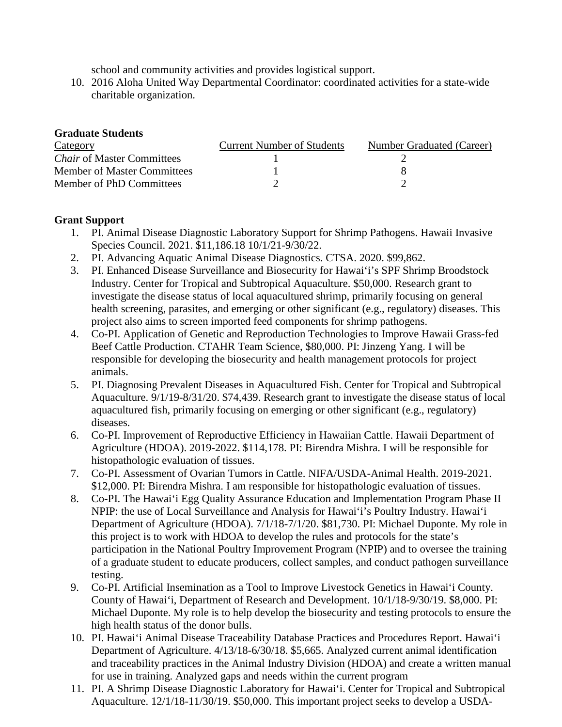school and community activities and provides logistical support.

10. 2016 Aloha United Way Departmental Coordinator: coordinated activities for a state-wide charitable organization.

## **Graduate Students**

| Category                           | <b>Current Number of Students</b> | Number Graduated (Career) |
|------------------------------------|-----------------------------------|---------------------------|
| <i>Chair</i> of Master Committees  |                                   |                           |
| <b>Member of Master Committees</b> |                                   |                           |
| Member of PhD Committees           |                                   |                           |

### **Grant Support**

- 1. PI. Animal Disease Diagnostic Laboratory Support for Shrimp Pathogens. Hawaii Invasive Species Council. 2021. \$11,186.18 10/1/21-9/30/22.
- 2. PI. Advancing Aquatic Animal Disease Diagnostics. CTSA. 2020. \$99,862.
- 3. PI. Enhanced Disease Surveillance and Biosecurity for Hawai'i's SPF Shrimp Broodstock Industry. Center for Tropical and Subtropical Aquaculture. \$50,000. Research grant to investigate the disease status of local aquacultured shrimp, primarily focusing on general health screening, parasites, and emerging or other significant (e.g., regulatory) diseases. This project also aims to screen imported feed components for shrimp pathogens.
- 4. Co-PI. Application of Genetic and Reproduction Technologies to Improve Hawaii Grass-fed Beef Cattle Production. CTAHR Team Science, \$80,000. PI: Jinzeng Yang. I will be responsible for developing the biosecurity and health management protocols for project animals.
- 5. PI. Diagnosing Prevalent Diseases in Aquacultured Fish. Center for Tropical and Subtropical Aquaculture. 9/1/19-8/31/20. \$74,439. Research grant to investigate the disease status of local aquacultured fish, primarily focusing on emerging or other significant (e.g., regulatory) diseases.
- 6. Co-PI. Improvement of Reproductive Efficiency in Hawaiian Cattle. Hawaii Department of Agriculture (HDOA). 2019-2022. \$114,178. PI: Birendra Mishra. I will be responsible for histopathologic evaluation of tissues.
- 7. Co-PI. Assessment of Ovarian Tumors in Cattle. NIFA/USDA-Animal Health. 2019-2021. \$12,000. PI: Birendra Mishra. I am responsible for histopathologic evaluation of tissues.
- 8. Co-PI. The Hawai'i Egg Quality Assurance Education and Implementation Program Phase II NPIP: the use of Local Surveillance and Analysis for Hawai'i's Poultry Industry. Hawai'i Department of Agriculture (HDOA). 7/1/18-7/1/20. \$81,730. PI: Michael Duponte. My role in this project is to work with HDOA to develop the rules and protocols for the state's participation in the National Poultry Improvement Program (NPIP) and to oversee the training of a graduate student to educate producers, collect samples, and conduct pathogen surveillance testing.
- 9. Co-PI. Artificial Insemination as a Tool to Improve Livestock Genetics in Hawai'i County. County of Hawai'i, Department of Research and Development. 10/1/18-9/30/19. \$8,000. PI: Michael Duponte. My role is to help develop the biosecurity and testing protocols to ensure the high health status of the donor bulls.
- 10. PI. Hawai'i Animal Disease Traceability Database Practices and Procedures Report. Hawai'i Department of Agriculture. 4/13/18-6/30/18. \$5,665. Analyzed current animal identification and traceability practices in the Animal Industry Division (HDOA) and create a written manual for use in training. Analyzed gaps and needs within the current program
- 11. PI. A Shrimp Disease Diagnostic Laboratory for Hawai'i. Center for Tropical and Subtropical Aquaculture. 12/1/18-11/30/19. \$50,000. This important project seeks to develop a USDA-